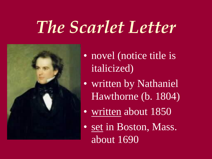## *The Scarlet Letter*



• novel (notice title is italicized)

- written by Nathaniel Hawthorne (b. 1804)
- written about 1850
- set in Boston, Mass. about 1690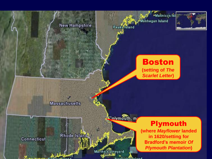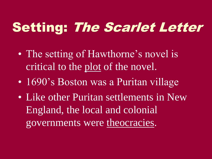### Setting: The Scarlet Letter

- The setting of Hawthorne's novel is critical to the plot of the novel.
- 1690's Boston was a Puritan village
- Like other Puritan settlements in New England, the local and colonial governments were theocracies.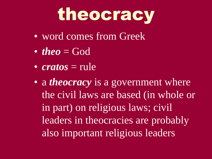

- word comes from Greek
- *theo* = God
- *cratos* = rule
- a *theocracy* is a government where the civil laws are based (in whole or in part) on religious laws; civil leaders in theocracies are probably also important religious leaders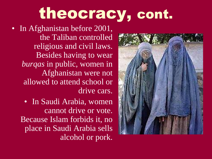### theocracy, cont.

- In Afghanistan before 2001, the Taliban controlled religious and civil laws. Besides having to wear *burqas* in public, women in Afghanistan were not allowed to attend school or drive cars.
	- In Saudi Arabia, women cannot drive or vote. Because Islam forbids it, no place in Saudi Arabia sells alcohol or pork.

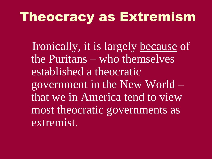#### Theocracy as Extremism

 Ironically, it is largely because of the Puritans – who themselves established a theocratic government in the New World – that we in America tend to view most theocratic governments as extremist.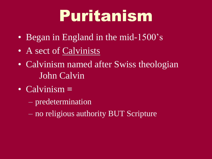# Puritanism

- Began in England in the mid-1500's
- A sect of Calvinists
- Calvinism named after Swiss theologian John Calvin
- Calvinism **=**
	- predetermination
	- no religious authority BUT Scripture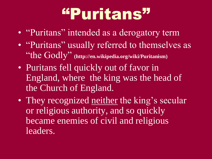### "Puritans"

- "Puritans" intended as a derogatory term
- "Puritans" usually referred to themselves as "the Godly" **(http://en.wikipedia.org/wiki/Puritanism)**
- Puritans fell quickly out of favor in England, where the king was the head of the Church of England.
- They recognized neither the king's secular or religious authority, and so quickly became enemies of civil and religious leaders.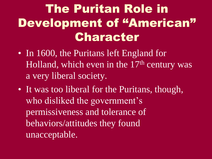#### The Puritan Role in Development of "American" Character

- In 1600, the Puritans left England for Holland, which even in the  $17<sup>th</sup>$  century was a very liberal society.
- It was too liberal for the Puritans, though, who disliked the government's permissiveness and tolerance of behaviors/attitudes they found unacceptable.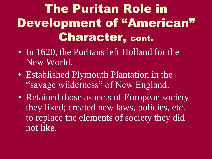### The Puritan Role in Development of "American" Character, cont.

- In 1620, the Puritans left Holland for the New World.
- Established Plymouth Plantation in the "savage wilderness" of New England.
- Retained those aspects of European society they liked; created new laws, policies, etc. to replace the elements of society they did not like.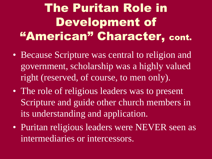#### The Puritan Role in Development of "American" Character, cont.

- Because Scripture was central to religion and government, scholarship was a highly valued right (reserved, of course, to men only).
- The role of religious leaders was to present Scripture and guide other church members in its understanding and application.
- Puritan religious leaders were NEVER seen as intermediaries or intercessors.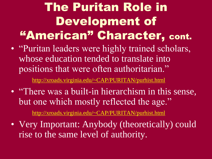#### The Puritan Role in Development of "American" Character, cont.

• "Puritan leaders were highly trained scholars, whose education tended to translate into positions that were often authoritarian."

<http://xroads.virginia.edu/~CAP/PURITAN/purhist.html>

• "There was a built-in hierarchism in this sense, but one which mostly reflected the age."

<http://xroads.virginia.edu/~CAP/PURITAN/purhist.html>

• Very Important: Anybody (theoretically) could rise to the same level of authority.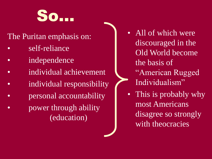

#### The Puritan emphasis on:

- self-reliance
- *independence*
- individual achievement
- individual responsibility
- **personal accountability**
- power through ability (education)
- All of which were discouraged in the Old World become the basis of "American Rugged Individualism"
- This is probably why most Americans disagree so strongly with theocracies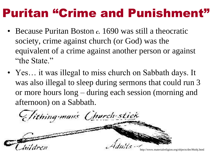#### Puritan "Crime and Punishment"

- Because Puritan Boston *c.* 1690 was still a theocratic society, crime against church (or God) was the equivalent of a crime against another person or against "the State."
- Yes... it was illegal to miss church on Sabbath days. It was also illegal to sleep during sermons that could run 3 or more hours long – during each session (morning and afternoon) on a Sabbath.

Tithing man's Church stick

www.materialreligion.org/objects/dec96obj.html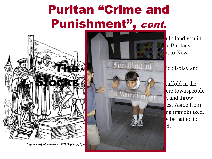### Puritan "Crime and Punishment", cont.



*http://etc.usf.edu/clipart/2100/2111/pillory\_1\_m* 



uld land you in le Puritans  $\ln t$  to New

**Examble** caffold in the ere townspeople  $\cdot$ , and throw les. Aside from ng immobilized, ly be nailed to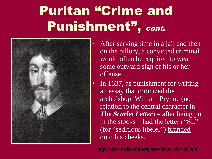### Puritan "Crime and Punishment", cont.



- After serving time in a jail and then on the pillory, a convicted criminal would often be required to wear some outward sign of his or her offense.
	- In 1637, as punishment for writing an essay that criticized the archbishop, William Prynne (no relation to the central character in *The Scarlet Letter*) – after being put in the stocks – had the letters "SL" (for "seditious libeler") branded onto his cheeks.

*http://history.wisc.edu/sommerville/367/367-06.htm*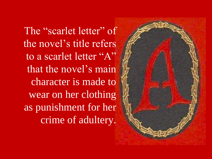The "scarlet letter" of the novel's title refers to a scarlet letter "A" that the novel's main character is made to wear on her clothing as punishment for her crime of adultery.